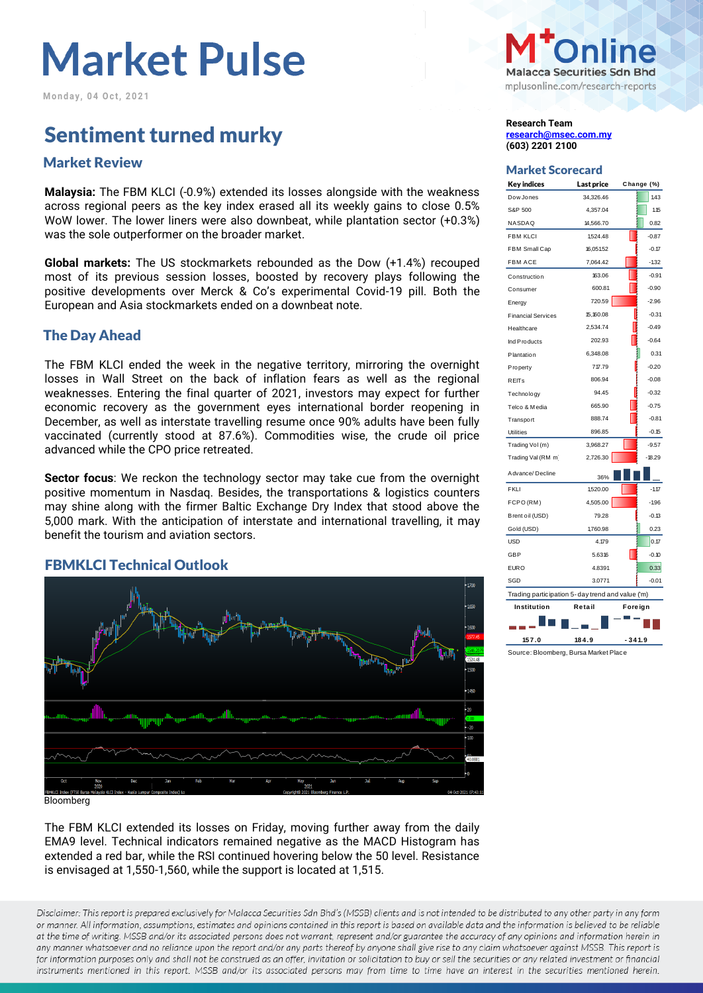**M o n d a y , 0 4 O c t , 2 0 2 1**

### Sentiment turned murky **Sentiment Research Team**

### Market Scorecard Market Review

**Malaysia:** The FBM KLCI (-0.9%) extended its losses alongside with the weakness across regional peers as the key index erased all its weekly gains to close 0.5% WoW lower. The lower liners were also downbeat, while plantation sector (+0.3%) was the sole outperformer on the broader market.

**Global markets:** The US stockmarkets rebounded as the Dow (+1.4%) recouped most of its previous session losses, boosted by recovery plays following the positive developments over Merck & Co's experimental Covid-19 pill. Both the European and Asia stockmarkets ended on a downbeat note.

#### The Day Ahead

The FBM KLCI ended the week in the negative territory, mirroring the overnight losses in Wall Street on the back of inflation fears as well as the regional weaknesses. Entering the final quarter of 2021, investors may expect for further economic recovery as the government eyes international border reopening in December, as well as interstate travelling resume once 90% adults have been fully vaccinated (currently stood at 87.6%). Commodities wise, the crude oil price advanced while the CPO price retreated.

**Sector focus**: We reckon the technology sector may take cue from the overnight positive momentum in Nasdaq. Besides, the transportations & logistics counters may shine along with the firmer Baltic Exchange Dry Index that stood above the 5,000 mark. With the anticipation of interstate and international travelling, it may benefit the tourism and aviation sectors.



#### FBMKLCI Technical Outlook

Bloomberg

The FBM KLCI extended its losses on Friday, moving further away from the daily EMA9 level. Technical indicators remained negative as the MACD Histogram has extended a red bar, while the RSI continued hovering below the 50 level. Resistance is envisaged at 1,550-1,560, while the support is located at 1,515.

Disclaimer: This report is prepared exclusively for Malacca Securities Sdn Bhd's (MSSB) clients and is not intended to be distributed to any other party in any form or manner. All information, assumptions, estimates and opinions contained in this report is based on available data and the information is believed to be reliable at the time of writing. MSSB and/or its associated persons does not warrant, represent and/or guarantee the accuracy of any opinions and information herein in any manner whatsoever and no reliance upon the report and/or any parts thereof by anyone shall give rise to any claim whatsoever against MSSB. This report is for information purposes only and shall not be construed as an offer, invitation or solicitation to buy or sell the securities or any related investment or financial instruments mentioned in this report. MSSB and/or its associated persons may from time to time have an interest in the securities mentioned herein.



**[research@msec.com.my](mailto:research@msec.com.my) (603) 2201 2100**

| <b>Key indices</b>                               | Last price | Change (%) |  |  |  |  |  |
|--------------------------------------------------|------------|------------|--|--|--|--|--|
| Dow Jones                                        | 34,326.46  | 143        |  |  |  |  |  |
| S&P 500                                          | 4,357.04   | 1.15       |  |  |  |  |  |
| NASDAQ                                           | 14,566.70  | 0.82       |  |  |  |  |  |
| <b>FBM KLCI</b>                                  | 1,524.48   | $-0.87$    |  |  |  |  |  |
| FBM Small Cap                                    | 16,051.52  | $-0.17$    |  |  |  |  |  |
| <b>FBM ACE</b>                                   | 7,064.42   | $-1.32$    |  |  |  |  |  |
| Construction                                     | 163.06     | $-0.91$    |  |  |  |  |  |
| Consumer                                         | 600.81     | $-0.90$    |  |  |  |  |  |
| Energy                                           | 720.59     | $-2.96$    |  |  |  |  |  |
| <b>Financial Services</b>                        | 15,160.08  | $-0.31$    |  |  |  |  |  |
| Healthcare                                       | 2,534.74   | $-0.49$    |  |  |  |  |  |
| Ind Products                                     | 202.93     | $-0.64$    |  |  |  |  |  |
| Plantation                                       | 6,348.08   | 0.31       |  |  |  |  |  |
| Property                                         | 717.79     | $-0.20$    |  |  |  |  |  |
| <b>REITs</b>                                     | 806.94     | $-0.08$    |  |  |  |  |  |
| Technology                                       | 94.45      | $-0.32$    |  |  |  |  |  |
| Telco & Media                                    | 665.90     | $-0.75$    |  |  |  |  |  |
| Transport                                        | 888.74     | $-0.81$    |  |  |  |  |  |
| <b>Utilities</b>                                 | 896.85     | $-0.15$    |  |  |  |  |  |
| Trading Vol (m)                                  | 3,968.27   | $-9.57$    |  |  |  |  |  |
| Trading Val (RM m)                               | 2,726.30   | $-18.29$   |  |  |  |  |  |
| Advance/Decline                                  | 36%        |            |  |  |  |  |  |
| <b>FKLI</b>                                      | 1,520.00   | $-1.17$    |  |  |  |  |  |
| FCPO (RM)                                        | 4,505.00   | $-1.96$    |  |  |  |  |  |
| Brent oil (USD)                                  | 79.28      | $-0.13$    |  |  |  |  |  |
| Gold (USD)                                       | 1,760.98   | 0.23       |  |  |  |  |  |
| <b>USD</b>                                       | 4.179      | 0.17       |  |  |  |  |  |
| <b>GBP</b>                                       | 5.6316     | $-0.10$    |  |  |  |  |  |
| <b>EURO</b>                                      | 4.8391     | 0.33       |  |  |  |  |  |
| SGD                                              | 3.0771     | $-0.01$    |  |  |  |  |  |
| Trading participation 5-day trend and value ('m) |            |            |  |  |  |  |  |
| Institution<br>Retail<br>Foreign                 |            |            |  |  |  |  |  |
|                                                  |            |            |  |  |  |  |  |
| 157.0                                            | 184.9      | $-341.9$   |  |  |  |  |  |

Source: Bloomberg, Bursa Market Place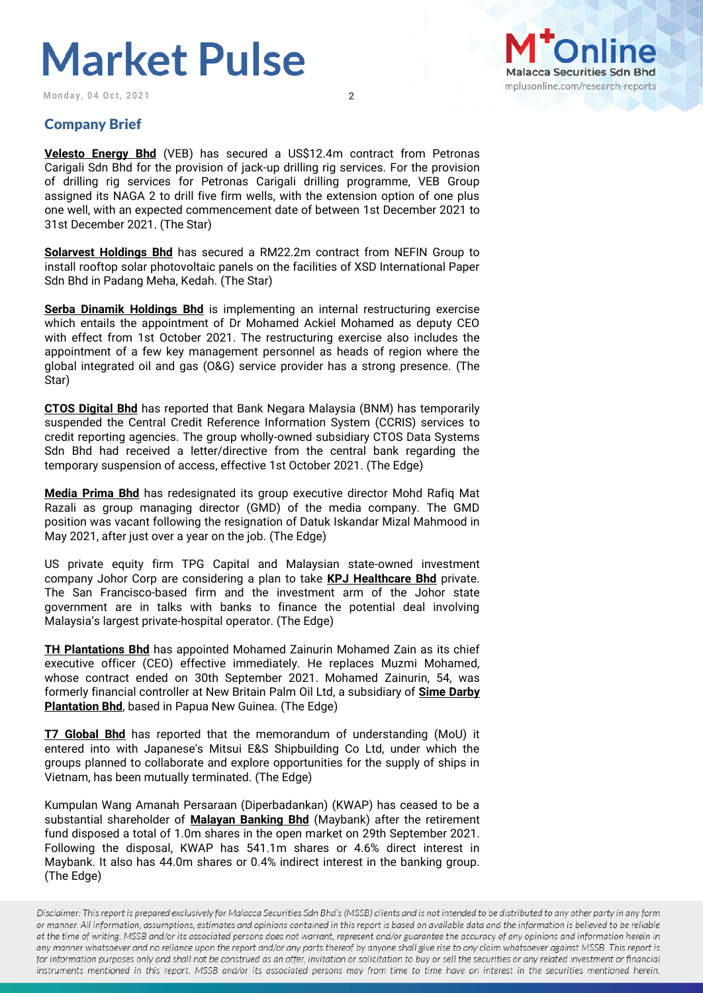**Monday, 04 Oct, 2021** 2



### Company Brief

**Velesto Energy Bhd** (VEB) has secured a US\$12.4m contract from Petronas Carigali Sdn Bhd for the provision of jack-up drilling rig services. For the provision of drilling rig services for Petronas Carigali drilling programme, VEB Group assigned its NAGA 2 to drill five firm wells, with the extension option of one plus one well, with an expected commencement date of between 1st December 2021 to 31st December 2021. (The Star)

**Solarvest Holdings Bhd** has secured a RM22.2m contract from NEFIN Group to install rooftop solar photovoltaic panels on the facilities of XSD International Paper Sdn Bhd in Padang Meha, Kedah. (The Star)

**Serba Dinamik Holdings Bhd** is implementing an internal restructuring exercise which entails the appointment of Dr Mohamed Ackiel Mohamed as deputy CEO with effect from 1st October 2021. The restructuring exercise also includes the appointment of a few key management personnel as heads of region where the global integrated oil and gas (O&G) service provider has a strong presence. (The Star)

**CTOS Digital Bhd** has reported that Bank Negara Malaysia (BNM) has temporarily suspended the Central Credit Reference Information System (CCRIS) services to credit reporting agencies. The group wholly-owned subsidiary CTOS Data Systems Sdn Bhd had received a letter/directive from the central bank regarding the temporary suspension of access, effective 1st October 2021. (The Edge)

**Media Prima Bhd** has redesignated its group executive director Mohd Rafiq Mat Razali as group managing director (GMD) of the media company. The GMD position was vacant following the resignation of Datuk Iskandar Mizal Mahmood in May 2021, after just over a year on the job. (The Edge)

US private equity firm TPG Capital and Malaysian state-owned investment company Johor Corp are considering a plan to take **KPJ Healthcare Bhd** private. The San Francisco-based firm and the investment arm of the Johor state government are in talks with banks to finance the potential deal involving Malaysia's largest private-hospital operator. (The Edge)

**TH Plantations Bhd** has appointed Mohamed Zainurin Mohamed Zain as its chief executive officer (CEO) effective immediately. He replaces Muzmi Mohamed, whose contract ended on 30th September 2021. Mohamed Zainurin, 54, was formerly financial controller at New Britain Palm Oil Ltd, a subsidiary of **Sime Darby Plantation Bhd**, based in Papua New Guinea. (The Edge)

**T7 Global Bhd** has reported that the memorandum of understanding (MoU) it entered into with Japanese's Mitsui E&S Shipbuilding Co Ltd, under which the groups planned to collaborate and explore opportunities for the supply of ships in Vietnam, has been mutually terminated. (The Edge)

Kumpulan Wang Amanah Persaraan (Diperbadankan) (KWAP) has ceased to be a substantial shareholder of **Malayan Banking Bhd** (Maybank) after the retirement fund disposed a total of 1.0m shares in the open market on 29th September 2021. Following the disposal, KWAP has 541.1m shares or 4.6% direct interest in Maybank. It also has 44.0m shares or 0.4% indirect interest in the banking group. (The Edge)

Disclaimer: This report is prepared exclusively for Malacca Securities Sdn Bhd's (MSSB) clients and is not intended to be distributed to any other party in any form or manner. All information, assumptions, estimates and opinions contained in this report is based on available data and the information is believed to be reliable at the time of writing. MSSB and/or its associated persons does not warrant, represent and/or guarantee the accuracy of any opinions and information herein in any manner whatsoever and no reliance upon the report and/or any parts thereof by anyone shall give rise to any claim whatsoever against MSSB. This report is for information purposes only and shall not be construed as an offer, invitation or solicitation to buy or sell the securities or any related investment or financial instruments mentioned in this report. MSSB and/or its associated persons may from time to time have an interest in the securities mentioned herein.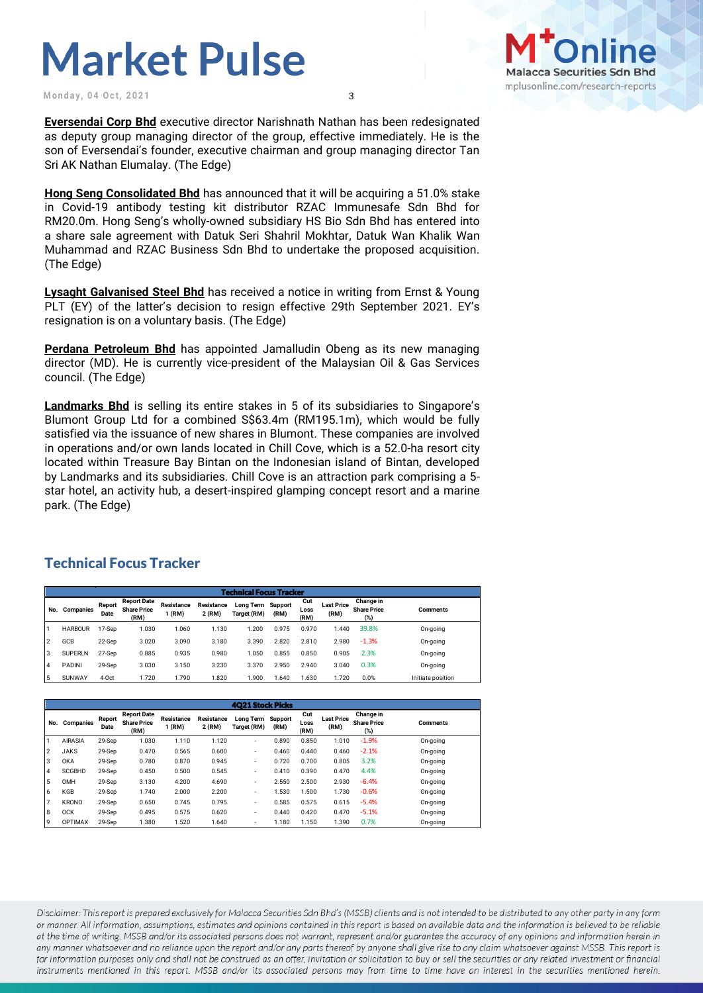**Monday, 04 Oct, 2021** 3



**Eversendai Corp Bhd** executive director Narishnath Nathan has been redesignated as deputy group managing director of the group, effective immediately. He is the son of Eversendai's founder, executive chairman and group managing director Tan Sri AK Nathan Elumalay. (The Edge)

**Hong Seng Consolidated Bhd** has announced that it will be acquiring a 51.0% stake in Covid-19 antibody testing kit distributor RZAC Immunesafe Sdn Bhd for RM20.0m. Hong Seng's wholly-owned subsidiary HS Bio Sdn Bhd has entered into a share sale agreement with Datuk Seri Shahril Mokhtar, Datuk Wan Khalik Wan Muhammad and RZAC Business Sdn Bhd to undertake the proposed acquisition. (The Edge)

**Lysaght Galvanised Steel Bhd** has received a notice in writing from Ernst & Young PLT (EY) of the latter's decision to resign effective 29th September 2021. EY's resignation is on a voluntary basis. (The Edge)

**Perdana Petroleum Bhd** has appointed Jamalludin Obeng as its new managing director (MD). He is currently vice-president of the Malaysian Oil & Gas Services council. (The Edge)

**Landmarks Bhd** is selling its entire stakes in 5 of its subsidiaries to Singapore's Blumont Group Ltd for a combined S\$63.4m (RM195.1m), which would be fully satisfied via the issuance of new shares in Blumont. These companies are involved in operations and/or own lands located in Chill Cove, which is a 52.0-ha resort city located within Treasure Bay Bintan on the Indonesian island of Bintan, developed by Landmarks and its subsidiaries. Chill Cove is an attraction park comprising a 5 star hotel, an activity hub, a desert-inspired glamping concept resort and a marine park. (The Edge)

### Technical Focus Tracker

|     | <b>Technical Focus Tracker</b> |                |                                                  |                      |                                                  |       |                 |                     |                           |                                        |                   |
|-----|--------------------------------|----------------|--------------------------------------------------|----------------------|--------------------------------------------------|-------|-----------------|---------------------|---------------------------|----------------------------------------|-------------------|
| No. | Companies                      | Report<br>Date | <b>Report Date</b><br><b>Share Price</b><br>(RM) | Resistance<br>1 (RM) | Resistance<br>Long Term<br>2 (RM)<br>Target (RM) |       | Support<br>(RM) | Cut<br>Loss<br>(RM) | <b>Last Price</b><br>(RM) | Change in<br><b>Share Price</b><br>(%) | <b>Comments</b>   |
|     | <b>HARBOUR</b>                 | 17-Sep         | 1.030                                            | 1.060                | 1.130                                            | 1.200 | 0.975           | 0.970               | 1.440                     | 39.8%                                  | On-going          |
| 12  | GCB                            | 22-Sep         | 3.020                                            | 3.090                | 3.180                                            | 3.390 | 2.820           | 2.810               | 2.980                     | $-1.3%$                                | On-going          |
| 3   | <b>SUPERLN</b>                 | 27-Sep         | 0.885                                            | 0.935                | 0.980                                            | 1.050 | 0.855           | 0.850               | 0.905                     | 2.3%                                   | On-going          |
| 14  | <b>PADINI</b>                  | 29-Sep         | 3.030                                            | 3.150                | 3.230                                            | 3.370 | 2.950           | 2.940               | 3.040                     | 0.3%                                   | On-going          |
| 5   | <b>SUNWAY</b>                  | 4-Oct          | 1.720                                            | 1.790                | 1.820                                            | 1.900 | .640            | .630                | 1.720                     | 0.0%                                   | Initiate position |

|     | <b>4021 Stock Picks</b> |                |                                                  |                      |                      |                          |                 |                     |                           |                                        |                 |
|-----|-------------------------|----------------|--------------------------------------------------|----------------------|----------------------|--------------------------|-----------------|---------------------|---------------------------|----------------------------------------|-----------------|
| No. | Companies               | Report<br>Date | <b>Report Date</b><br><b>Share Price</b><br>(RM) | Resistance<br>1 (RM) | Resistance<br>2 (RM) | Long Term<br>Target (RM) | Support<br>(RM) | Cut<br>Loss<br>(RM) | <b>Last Price</b><br>(RM) | Change in<br><b>Share Price</b><br>(%) | <b>Comments</b> |
|     | <b>AIRASIA</b>          | 29-Sep         | 1.030                                            | 1.110                | 1.120                | $\overline{\phantom{a}}$ | 0.890           | 0.850               | 1.010                     | $-1.9%$                                | On-going        |
| 2   | <b>JAKS</b>             | 29-Sep         | 0.470                                            | 0.565                | 0.600                | $\overline{\phantom{a}}$ | 0.460           | 0.440               | 0.460                     | $-2.1%$                                | On-going        |
| 3   | <b>OKA</b>              | 29-Sep         | 0.780                                            | 0.870                | 0.945                | $\overline{\phantom{a}}$ | 0.720           | 0.700               | 0.805                     | 3.2%                                   | On-going        |
| 4   | <b>SCGBHD</b>           | 29-Sep         | 0.450                                            | 0.500                | 0.545                | $\overline{\phantom{a}}$ | 0.410           | 0.390               | 0.470                     | 4.4%                                   | On-going        |
| . 5 | OMH                     | 29-Sep         | 3.130                                            | 4.200                | 4.690                | $\overline{\phantom{a}}$ | 2.550           | 2.500               | 2.930                     | $-6.4%$                                | On-going        |
| 6   | KGB                     | 29-Sep         | 1.740                                            | 2.000                | 2.200                | $\overline{\phantom{a}}$ | 1.530           | 1.500               | 1.730                     | $-0.6%$                                | On-going        |
| 17  | <b>KRONO</b>            | 29-Sep         | 0.650                                            | 0.745                | 0.795                | $\overline{\phantom{a}}$ | 0.585           | 0.575               | 0.615                     | $-5.4%$                                | On-going        |
| l 8 | <b>OCK</b>              | 29-Sep         | 0.495                                            | 0.575                | 0.620                | $\overline{\phantom{a}}$ | 0.440           | 0.420               | 0.470                     | $-5.1%$                                | On-going        |
| 19  | <b>OPTIMAX</b>          | 29-Sep         | 1.380                                            | 1.520                | 1.640                | ٠                        | 1.180           | 1.150               | 1.390                     | 0.7%                                   | On-going        |

Disclaimer: This report is prepared exclusively for Malacca Securities Sdn Bhd's (MSSB) clients and is not intended to be distributed to any other party in any form or manner. All information, assumptions, estimates and opinions contained in this report is based on available data and the information is believed to be reliable at the time of writing. MSSB and/or its associated persons does not warrant, represent and/or guarantee the accuracy of any opinions and information herein in any manner whatsoever and no reliance upon the report and/or any parts thereof by anyone shall give rise to any claim whatsoever against MSSB. This report is for information purposes only and shall not be construed as an offer, invitation or solicitation to buy or sell the securities or any related investment or financial instruments mentioned in this report. MSSB and/or its associated persons may from time to time have an interest in the securities mentioned herein.